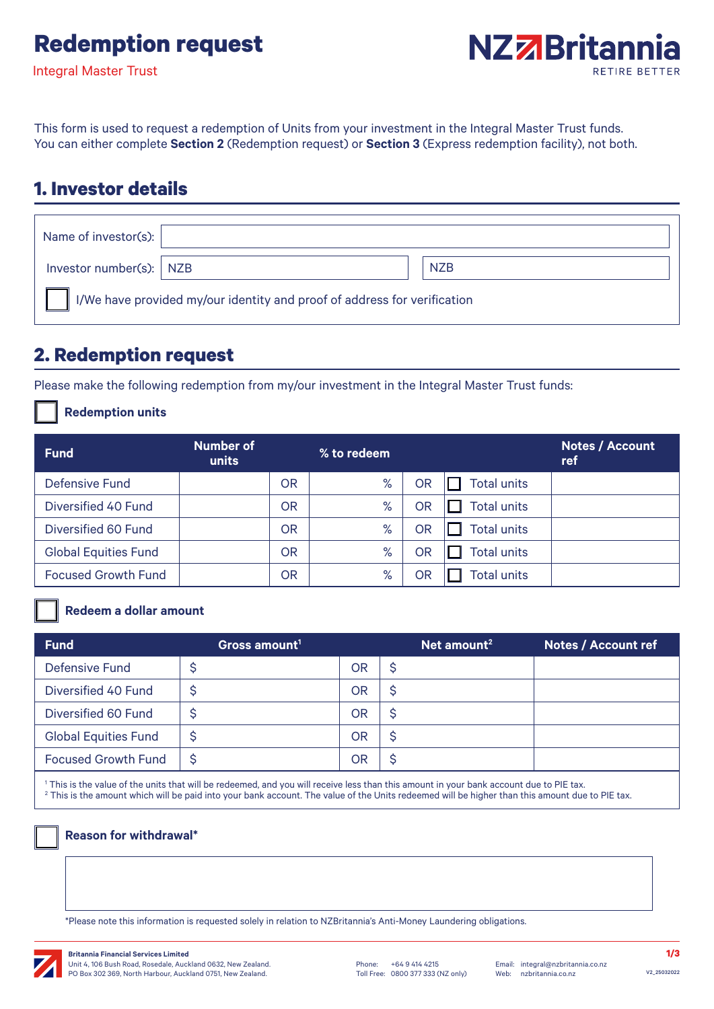# **Redemption request**

Integral Master Trust



This form is used to request a redemption of Units from your investment in the Integral Master Trust funds. You can either complete **Section 2** (Redemption request) or **Section 3** (Express redemption facility), not both.

## **1. Investor details**

| Name of investor(s): $\vert$                                             |  |            |  |  |
|--------------------------------------------------------------------------|--|------------|--|--|
| Investor number(s): $\vert$ NZB                                          |  | <b>NZB</b> |  |  |
| I/We have provided my/our identity and proof of address for verification |  |            |  |  |

## **2. Redemption request**

Please make the following redemption from my/our investment in the Integral Master Trust funds:

**Redemption units**

| <b>Fund</b>                 | Number of<br>units |           | % to redeem |    |                    | <b>Notes / Account</b><br>ref |
|-----------------------------|--------------------|-----------|-------------|----|--------------------|-------------------------------|
| Defensive Fund              |                    | OR        | %           | OR | <b>Total units</b> |                               |
| Diversified 40 Fund         |                    | OR        | %           | OR | <b>Total units</b> |                               |
| Diversified 60 Fund         |                    | OR        | $\%$        | OR | <b>Total units</b> |                               |
| <b>Global Equities Fund</b> |                    | OR        | %           | OR | <b>Total units</b> |                               |
| <b>Focused Growth Fund</b>  |                    | <b>OR</b> | %           | OR | <b>Total units</b> |                               |

### **Redeem a dollar amount**

| <b>Fund</b>                 | Gross amount <sup>1</sup> |           | $'$ Net amount <sup>2</sup> | <b>Notes / Account ref</b> |
|-----------------------------|---------------------------|-----------|-----------------------------|----------------------------|
| Defensive Fund              |                           | <b>OR</b> | Ş                           |                            |
| Diversified 40 Fund         |                           | <b>OR</b> | S                           |                            |
| Diversified 60 Fund         |                           | OR        | S                           |                            |
| <b>Global Equities Fund</b> | S                         | OR        | S                           |                            |
| <b>Focused Growth Fund</b>  | \$                        | OR        | S                           |                            |

1 This is the value of the units that will be redeemed, and you will receive less than this amount in your bank account due to PIE tax.  $^2$  This is the amount which will be paid into your bank account. The value of the Units redeemed will be higher than this amount due to PIE tax.

#### **Reason for withdrawal\***

\*Please note this information is requested solely in relation to NZBritannia's Anti-Money Laundering obligations.

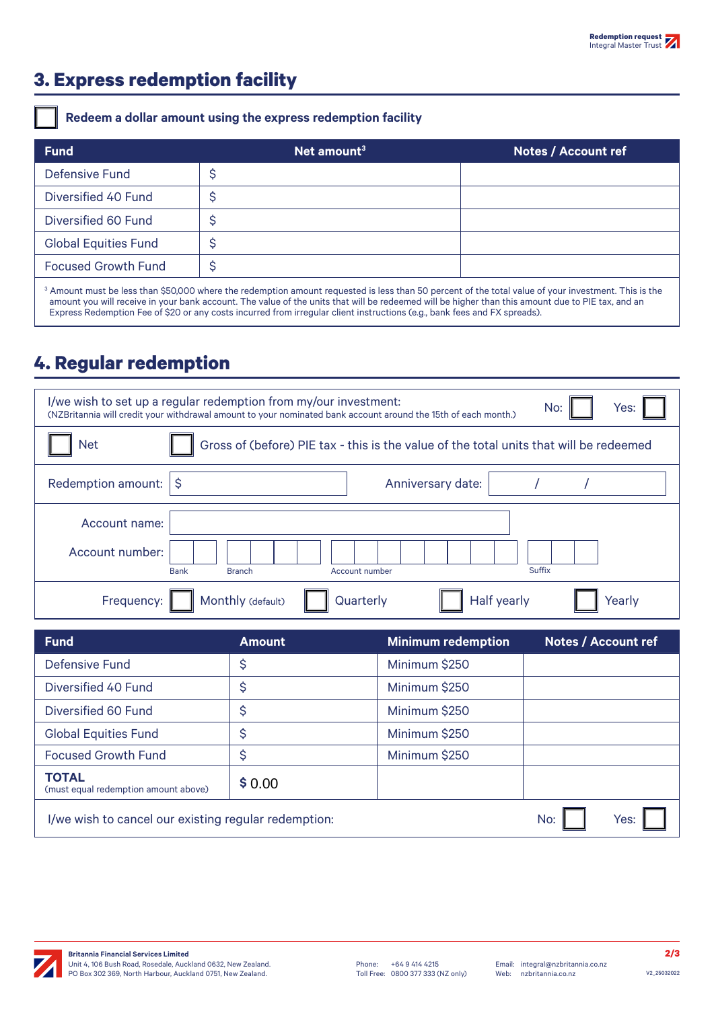## **3. Express redemption facility**

### **Redeem a dollar amount using the express redemption facility**

| <b>Fund</b>                 | $\sqrt{2}$ Net amount <sup>3</sup>                                                                                                                                                                                                                                                                                   | <b>Notes / Account ref</b> |
|-----------------------------|----------------------------------------------------------------------------------------------------------------------------------------------------------------------------------------------------------------------------------------------------------------------------------------------------------------------|----------------------------|
| Defensive Fund              | \$                                                                                                                                                                                                                                                                                                                   |                            |
| Diversified 40 Fund         | c                                                                                                                                                                                                                                                                                                                    |                            |
| Diversified 60 Fund         |                                                                                                                                                                                                                                                                                                                      |                            |
| <b>Global Equities Fund</b> |                                                                                                                                                                                                                                                                                                                      |                            |
| <b>Focused Growth Fund</b>  | Ş                                                                                                                                                                                                                                                                                                                    |                            |
|                             | <sup>3</sup> Amount must be less than \$50,000 where the redemption amount requested is less than 50 percent of the total value of your investment. This is the<br>amount you will receive in your bank account. The value of the units that will be redeemed will be higher than this amount due to PIE tax, and an |                            |

Express Redemption Fee of \$20 or any costs incurred from irregular client instructions (e.g., bank fees and FX spreads).

## **4. Regular redemption**

| I/we wish to set up a regular redemption from my/our investment:<br>Yes:<br>No:<br>(NZBritannia will credit your withdrawal amount to your nominated bank account around the 15th of each month.) |                                                                 |  |  |  |  |
|---------------------------------------------------------------------------------------------------------------------------------------------------------------------------------------------------|-----------------------------------------------------------------|--|--|--|--|
| Gross of (before) PIE tax - this is the value of the total units that will be redeemed<br>Net                                                                                                     |                                                                 |  |  |  |  |
| Redemption amount: $ \$$                                                                                                                                                                          | Anniversary date:                                               |  |  |  |  |
| Account name:                                                                                                                                                                                     |                                                                 |  |  |  |  |
| Account number:                                                                                                                                                                                   | <b>Suffix</b><br><b>Bank</b><br>Account number<br><b>Branch</b> |  |  |  |  |
| Frequency:                                                                                                                                                                                        | Monthly (default)<br><b>Half yearly</b><br>Quarterly<br>Yearly  |  |  |  |  |

| <b>Fund</b>                                          | <b>Amount</b> | <b>Minimum redemption</b> | <b>Notes / Account ref</b> |
|------------------------------------------------------|---------------|---------------------------|----------------------------|
| <b>Defensive Fund</b>                                | \$            | Minimum \$250             |                            |
| Diversified 40 Fund                                  | \$            | Minimum \$250             |                            |
| Diversified 60 Fund                                  | \$            | Minimum \$250             |                            |
| <b>Global Equities Fund</b>                          | \$            | Minimum \$250             |                            |
| <b>Focused Growth Fund</b>                           | \$            | Minimum \$250             |                            |
| <b>TOTAL</b><br>(must equal redemption amount above) | \$0.00        |                           |                            |
| I/we wish to cancel our existing regular redemption: |               |                           | Yes:<br>No:                |